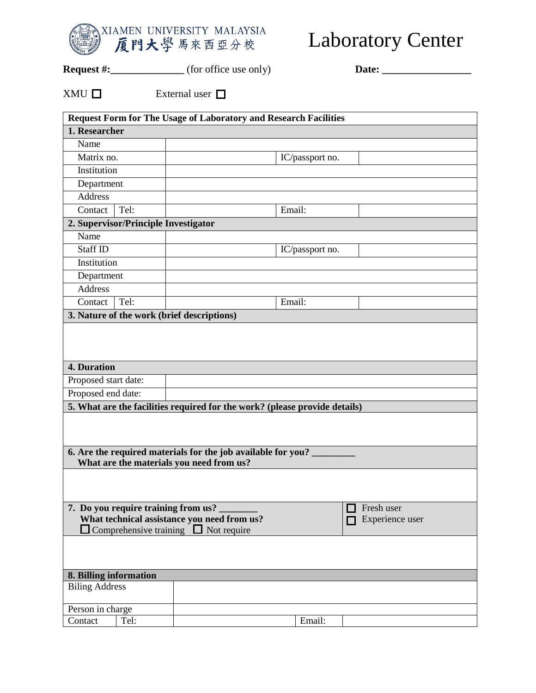

## Laboratory Center

**Request #:\_\_\_\_\_\_\_\_\_\_\_** (for office use only) **Date: \_\_\_\_\_\_\_\_\_\_\_\_\_\_** 

 $XMU \Box$  External user  $\Box$ 

|                                                                                                                    | <b>Request Form for The Usage of Laboratory and Research Facilities</b>    |                 |  |  |  |  |
|--------------------------------------------------------------------------------------------------------------------|----------------------------------------------------------------------------|-----------------|--|--|--|--|
| 1. Researcher                                                                                                      |                                                                            |                 |  |  |  |  |
| Name                                                                                                               |                                                                            |                 |  |  |  |  |
| Matrix no.                                                                                                         |                                                                            | IC/passport no. |  |  |  |  |
| Institution                                                                                                        |                                                                            |                 |  |  |  |  |
| Department                                                                                                         |                                                                            |                 |  |  |  |  |
| <b>Address</b>                                                                                                     |                                                                            |                 |  |  |  |  |
| Tel:<br>Contact                                                                                                    |                                                                            | Email:          |  |  |  |  |
| 2. Supervisor/Principle Investigator                                                                               |                                                                            |                 |  |  |  |  |
| Name                                                                                                               |                                                                            |                 |  |  |  |  |
| Staff ID                                                                                                           | IC/passport no.                                                            |                 |  |  |  |  |
| Institution                                                                                                        |                                                                            |                 |  |  |  |  |
| Department                                                                                                         |                                                                            |                 |  |  |  |  |
| <b>Address</b>                                                                                                     |                                                                            |                 |  |  |  |  |
| Tel:<br>Contact                                                                                                    |                                                                            | Email:          |  |  |  |  |
| 3. Nature of the work (brief descriptions)                                                                         |                                                                            |                 |  |  |  |  |
| <b>4. Duration</b>                                                                                                 |                                                                            |                 |  |  |  |  |
| Proposed start date:                                                                                               |                                                                            |                 |  |  |  |  |
| Proposed end date:                                                                                                 |                                                                            |                 |  |  |  |  |
|                                                                                                                    | 5. What are the facilities required for the work? (please provide details) |                 |  |  |  |  |
|                                                                                                                    |                                                                            |                 |  |  |  |  |
| 6. Are the required materials for the job available for you?                                                       |                                                                            |                 |  |  |  |  |
| What are the materials you need from us?                                                                           |                                                                            |                 |  |  |  |  |
|                                                                                                                    |                                                                            |                 |  |  |  |  |
|                                                                                                                    |                                                                            |                 |  |  |  |  |
| 7. Do you require training from us?<br>Fresh user                                                                  |                                                                            |                 |  |  |  |  |
| What technical assistance you need from us?<br>Experience user<br>$\Box$ Comprehensive training $\Box$ Not require |                                                                            |                 |  |  |  |  |
|                                                                                                                    |                                                                            |                 |  |  |  |  |
|                                                                                                                    |                                                                            |                 |  |  |  |  |
|                                                                                                                    |                                                                            |                 |  |  |  |  |
| 8. Billing information                                                                                             |                                                                            |                 |  |  |  |  |
| <b>Biling Address</b>                                                                                              |                                                                            |                 |  |  |  |  |
| Person in charge                                                                                                   |                                                                            |                 |  |  |  |  |
| Tel:<br>Contact                                                                                                    |                                                                            | Email:          |  |  |  |  |